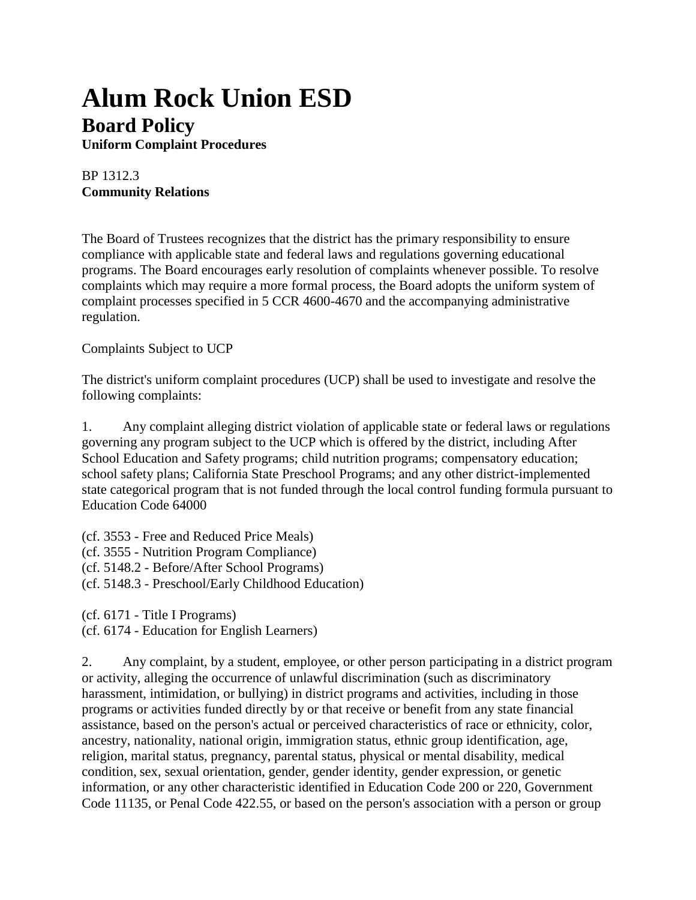## **Alum Rock Union ESD Board Policy**

**Uniform Complaint Procedures**

## BP 1312.3 **Community Relations**

The Board of Trustees recognizes that the district has the primary responsibility to ensure compliance with applicable state and federal laws and regulations governing educational programs. The Board encourages early resolution of complaints whenever possible. To resolve complaints which may require a more formal process, the Board adopts the uniform system of complaint processes specified in 5 CCR 4600-4670 and the accompanying administrative regulation.

## Complaints Subject to UCP

The district's uniform complaint procedures (UCP) shall be used to investigate and resolve the following complaints:

1. Any complaint alleging district violation of applicable state or federal laws or regulations governing any program subject to the UCP which is offered by the district, including After School Education and Safety programs; child nutrition programs; compensatory education; school safety plans; California State Preschool Programs; and any other district-implemented state categorical program that is not funded through the local control funding formula pursuant to Education Code 64000

(cf. 3553 - Free and Reduced Price Meals) (cf. 3555 - Nutrition Program Compliance) (cf. 5148.2 - Before/After School Programs) (cf. 5148.3 - Preschool/Early Childhood Education)

(cf. 6171 - Title I Programs) (cf. 6174 - Education for English Learners)

2. Any complaint, by a student, employee, or other person participating in a district program or activity, alleging the occurrence of unlawful discrimination (such as discriminatory harassment, intimidation, or bullying) in district programs and activities, including in those programs or activities funded directly by or that receive or benefit from any state financial assistance, based on the person's actual or perceived characteristics of race or ethnicity, color, ancestry, nationality, national origin, immigration status, ethnic group identification, age, religion, marital status, pregnancy, parental status, physical or mental disability, medical condition, sex, sexual orientation, gender, gender identity, gender expression, or genetic information, or any other characteristic identified in Education Code 200 or 220, Government Code 11135, or Penal Code 422.55, or based on the person's association with a person or group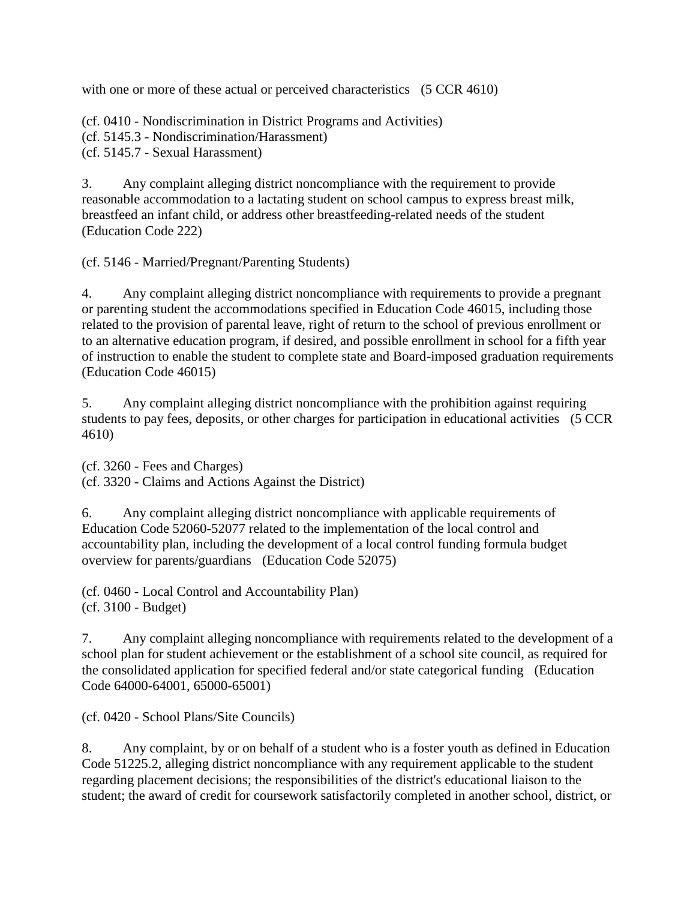with one or more of these actual or perceived characteristics (5 CCR 4610)

(cf. 0410 - Nondiscrimination in District Programs and Activities) (cf. 5145.3 - Nondiscrimination/Harassment) (cf. 5145.7 - Sexual Harassment)

3. Any complaint alleging district noncompliance with the requirement to provide reasonable accommodation to a lactating student on school campus to express breast milk, breastfeed an infant child, or address other breastfeeding-related needs of the student (Education Code 222)

(cf. 5146 - Married/Pregnant/Parenting Students)

4. Any complaint alleging district noncompliance with requirements to provide a pregnant or parenting student the accommodations specified in Education Code 46015, including those related to the provision of parental leave, right of return to the school of previous enrollment or to an alternative education program, if desired, and possible enrollment in school for a fifth year of instruction to enable the student to complete state and Board-imposed graduation requirements (Education Code 46015)

5. Any complaint alleging district noncompliance with the prohibition against requiring students to pay fees, deposits, or other charges for participation in educational activities (5 CCR 4610)

(cf. 3260 - Fees and Charges) (cf. 3320 - Claims and Actions Against the District)

6. Any complaint alleging district noncompliance with applicable requirements of Education Code 52060-52077 related to the implementation of the local control and accountability plan, including the development of a local control funding formula budget overview for parents/guardians (Education Code 52075)

(cf. 0460 - Local Control and Accountability Plan) (cf. 3100 - Budget)

7. Any complaint alleging noncompliance with requirements related to the development of a school plan for student achievement or the establishment of a school site council, as required for the consolidated application for specified federal and/or state categorical funding (Education Code 64000-64001, 65000-65001)

(cf. 0420 - School Plans/Site Councils)

8. Any complaint, by or on behalf of a student who is a foster youth as defined in Education Code 51225.2, alleging district noncompliance with any requirement applicable to the student regarding placement decisions; the responsibilities of the district's educational liaison to the student; the award of credit for coursework satisfactorily completed in another school, district, or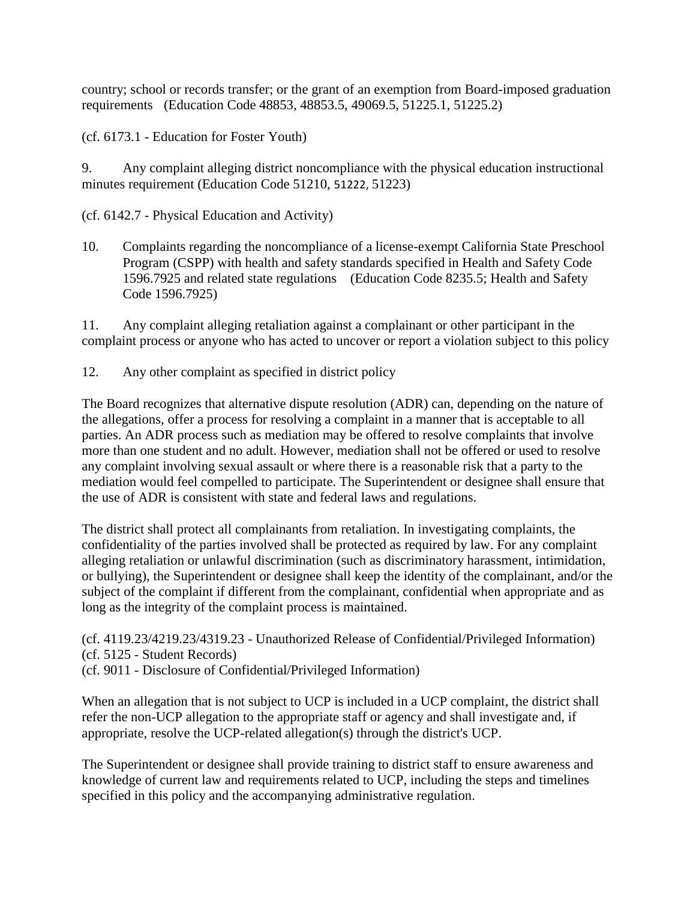country; school or records transfer; or the grant of an exemption from Board-imposed graduation requirements (Education Code 48853, 48853.5, 49069.5, 51225.1, 51225.2)

(cf. 6173.1 - Education for Foster Youth)

9. Any complaint alleging district noncompliance with the physical education instructional minutes requirement (Education Code 51210, 51222, 51223)

(cf. 6142.7 - Physical Education and Activity)

10. Complaints regarding the noncompliance of a license-exempt California State Preschool Program (CSPP) with health and safety standards specified in Health and Safety Code 1596.7925 and related state regulations (Education Code 8235.5; Health and Safety Code 1596.7925)

11. Any complaint alleging retaliation against a complainant or other participant in the complaint process or anyone who has acted to uncover or report a violation subject to this policy

12. Any other complaint as specified in district policy

The Board recognizes that alternative dispute resolution (ADR) can, depending on the nature of the allegations, offer a process for resolving a complaint in a manner that is acceptable to all parties. An ADR process such as mediation may be offered to resolve complaints that involve more than one student and no adult. However, mediation shall not be offered or used to resolve any complaint involving sexual assault or where there is a reasonable risk that a party to the mediation would feel compelled to participate. The Superintendent or designee shall ensure that the use of ADR is consistent with state and federal laws and regulations.

The district shall protect all complainants from retaliation. In investigating complaints, the confidentiality of the parties involved shall be protected as required by law. For any complaint alleging retaliation or unlawful discrimination (such as discriminatory harassment, intimidation, or bullying), the Superintendent or designee shall keep the identity of the complainant, and/or the subject of the complaint if different from the complainant, confidential when appropriate and as long as the integrity of the complaint process is maintained.

(cf. 4119.23/4219.23/4319.23 - Unauthorized Release of Confidential/Privileged Information) (cf. 5125 - Student Records)

(cf. 9011 - Disclosure of Confidential/Privileged Information)

When an allegation that is not subject to UCP is included in a UCP complaint, the district shall refer the non-UCP allegation to the appropriate staff or agency and shall investigate and, if appropriate, resolve the UCP-related allegation(s) through the district's UCP.

The Superintendent or designee shall provide training to district staff to ensure awareness and knowledge of current law and requirements related to UCP, including the steps and timelines specified in this policy and the accompanying administrative regulation.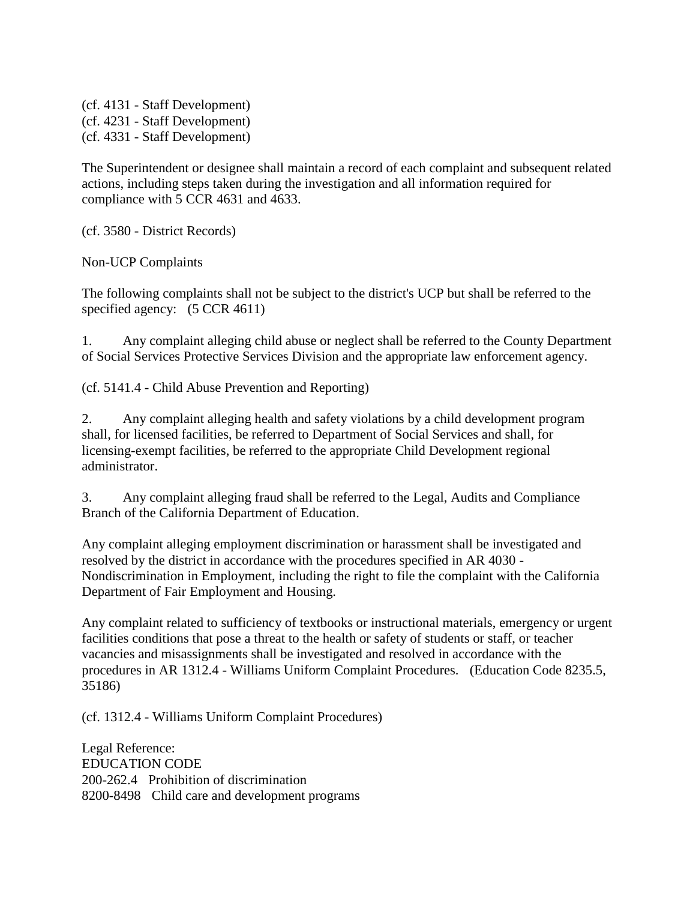(cf. 4131 - Staff Development) (cf. 4231 - Staff Development) (cf. 4331 - Staff Development)

The Superintendent or designee shall maintain a record of each complaint and subsequent related actions, including steps taken during the investigation and all information required for compliance with 5 CCR 4631 and 4633.

(cf. 3580 - District Records)

Non-UCP Complaints

The following complaints shall not be subject to the district's UCP but shall be referred to the specified agency:  $(5$  CCR 4611)

1. Any complaint alleging child abuse or neglect shall be referred to the County Department of Social Services Protective Services Division and the appropriate law enforcement agency.

(cf. 5141.4 - Child Abuse Prevention and Reporting)

2. Any complaint alleging health and safety violations by a child development program shall, for licensed facilities, be referred to Department of Social Services and shall, for licensing-exempt facilities, be referred to the appropriate Child Development regional administrator.

3. Any complaint alleging fraud shall be referred to the Legal, Audits and Compliance Branch of the California Department of Education.

Any complaint alleging employment discrimination or harassment shall be investigated and resolved by the district in accordance with the procedures specified in AR 4030 - Nondiscrimination in Employment, including the right to file the complaint with the California Department of Fair Employment and Housing.

Any complaint related to sufficiency of textbooks or instructional materials, emergency or urgent facilities conditions that pose a threat to the health or safety of students or staff, or teacher vacancies and misassignments shall be investigated and resolved in accordance with the procedures in AR 1312.4 - Williams Uniform Complaint Procedures. (Education Code 8235.5, 35186)

(cf. 1312.4 - Williams Uniform Complaint Procedures)

Legal Reference: EDUCATION CODE 200-262.4 Prohibition of discrimination 8200-8498 Child care and development programs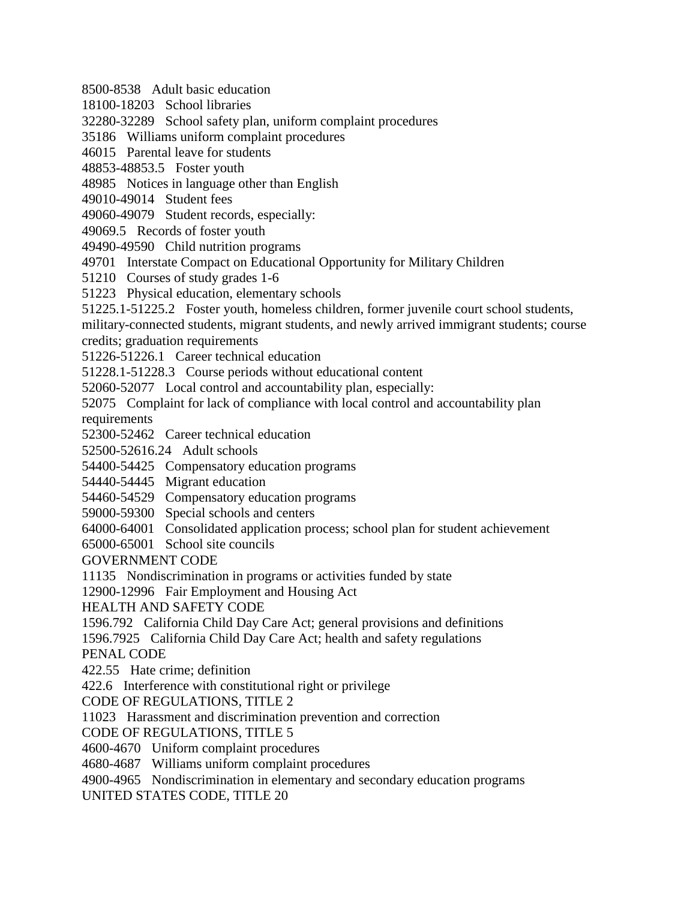8500-8538 Adult basic education

18100-18203 School libraries

32280-32289 School safety plan, uniform complaint procedures

35186 Williams uniform complaint procedures

46015 Parental leave for students

48853-48853.5 Foster youth

48985 Notices in language other than English

49010-49014 Student fees

49060-49079 Student records, especially:

49069.5 Records of foster youth

49490-49590 Child nutrition programs

49701 Interstate Compact on Educational Opportunity for Military Children

51210 Courses of study grades 1-6

51223 Physical education, elementary schools

51225.1-51225.2 Foster youth, homeless children, former juvenile court school students,

military-connected students, migrant students, and newly arrived immigrant students; course credits; graduation requirements

51226-51226.1 Career technical education

51228.1-51228.3 Course periods without educational content

52060-52077 Local control and accountability plan, especially:

52075 Complaint for lack of compliance with local control and accountability plan requirements

52300-52462 Career technical education

52500-52616.24 Adult schools

54400-54425 Compensatory education programs

54440-54445 Migrant education

54460-54529 Compensatory education programs

59000-59300 Special schools and centers

64000-64001 Consolidated application process; school plan for student achievement

65000-65001 School site councils

GOVERNMENT CODE

11135 Nondiscrimination in programs or activities funded by state

12900-12996 Fair Employment and Housing Act

HEALTH AND SAFETY CODE

1596.792 California Child Day Care Act; general provisions and definitions

1596.7925 California Child Day Care Act; health and safety regulations

PENAL CODE

422.55 Hate crime; definition

422.6 Interference with constitutional right or privilege

CODE OF REGULATIONS, TITLE 2

11023 Harassment and discrimination prevention and correction

CODE OF REGULATIONS, TITLE 5

4600-4670 Uniform complaint procedures

4680-4687 Williams uniform complaint procedures

4900-4965 Nondiscrimination in elementary and secondary education programs

UNITED STATES CODE, TITLE 20